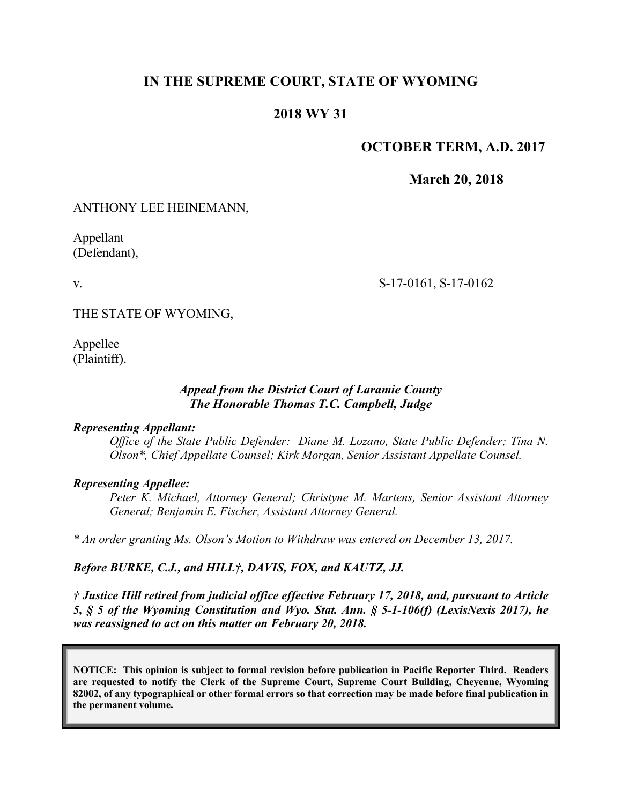## **IN THE SUPREME COURT, STATE OF WYOMING**

## **2018 WY 31**

### **OCTOBER TERM, A.D. 2017**

#### **March 20, 2018**

ANTHONY LEE HEINEMANN,

Appellant (Defendant),

v.

S-17-0161, S-17-0162

THE STATE OF WYOMING,

Appellee (Plaintiff).

#### *Appeal from the District Court of Laramie County The Honorable Thomas T.C. Campbell, Judge*

#### *Representing Appellant:*

*Office of the State Public Defender: Diane M. Lozano, State Public Defender; Tina N. Olson\*, Chief Appellate Counsel; Kirk Morgan, Senior Assistant Appellate Counsel.*

#### *Representing Appellee:*

*Peter K. Michael, Attorney General; Christyne M. Martens, Senior Assistant Attorney General; Benjamin E. Fischer, Assistant Attorney General.*

*\* An order granting Ms. Olson's Motion to Withdraw was entered on December 13, 2017.*

#### *Before BURKE, C.J., and HILL†, DAVIS, FOX, and KAUTZ, JJ.*

*† Justice Hill retired from judicial office effective February 17, 2018, and, pursuant to Article 5, § 5 of the Wyoming Constitution and Wyo. Stat. Ann. § 5-1-106(f) (LexisNexis 2017), he was reassigned to act on this matter on February 20, 2018.*

**NOTICE: This opinion is subject to formal revision before publication in Pacific Reporter Third. Readers are requested to notify the Clerk of the Supreme Court, Supreme Court Building, Cheyenne, Wyoming 82002, of any typographical or other formal errors so that correction may be made before final publication in the permanent volume.**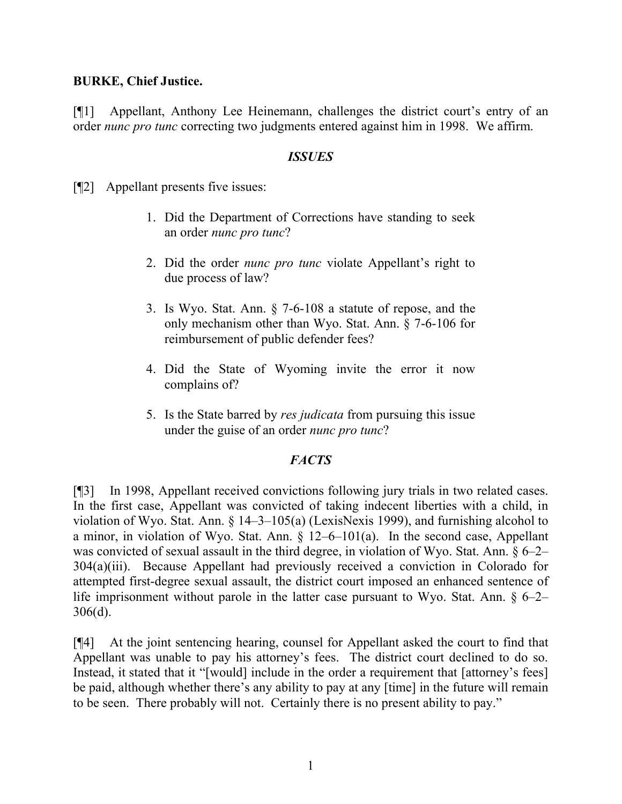### **BURKE, Chief Justice.**

[¶1] Appellant, Anthony Lee Heinemann, challenges the district court's entry of an order *nunc pro tunc* correcting two judgments entered against him in 1998. We affirm.

### *ISSUES*

[¶2] Appellant presents five issues:

- 1. Did the Department of Corrections have standing to seek an order *nunc pro tunc*?
- 2. Did the order *nunc pro tunc* violate Appellant's right to due process of law?
- 3. Is Wyo. Stat. Ann. § 7-6-108 a statute of repose, and the only mechanism other than Wyo. Stat. Ann. § 7-6-106 for reimbursement of public defender fees?
- 4. Did the State of Wyoming invite the error it now complains of?
- 5. Is the State barred by *res judicata* from pursuing this issue under the guise of an order *nunc pro tunc*?

## *FACTS*

[¶3] In 1998, Appellant received convictions following jury trials in two related cases. In the first case, Appellant was convicted of taking indecent liberties with a child, in violation of Wyo. Stat. Ann. § 14–3–105(a) (LexisNexis 1999), and furnishing alcohol to a minor, in violation of Wyo. Stat. Ann. § 12–6–101(a). In the second case, Appellant was convicted of sexual assault in the third degree, in violation of Wyo. Stat. Ann. § 6–2– 304(a)(iii). Because Appellant had previously received a conviction in Colorado for attempted first-degree sexual assault, the district court imposed an enhanced sentence of life imprisonment without parole in the latter case pursuant to Wyo. Stat. Ann. § 6–2– 306(d).

[¶4] At the joint sentencing hearing, counsel for Appellant asked the court to find that Appellant was unable to pay his attorney's fees. The district court declined to do so. Instead, it stated that it "[would] include in the order a requirement that [attorney's fees] be paid, although whether there's any ability to pay at any [time] in the future will remain to be seen. There probably will not. Certainly there is no present ability to pay."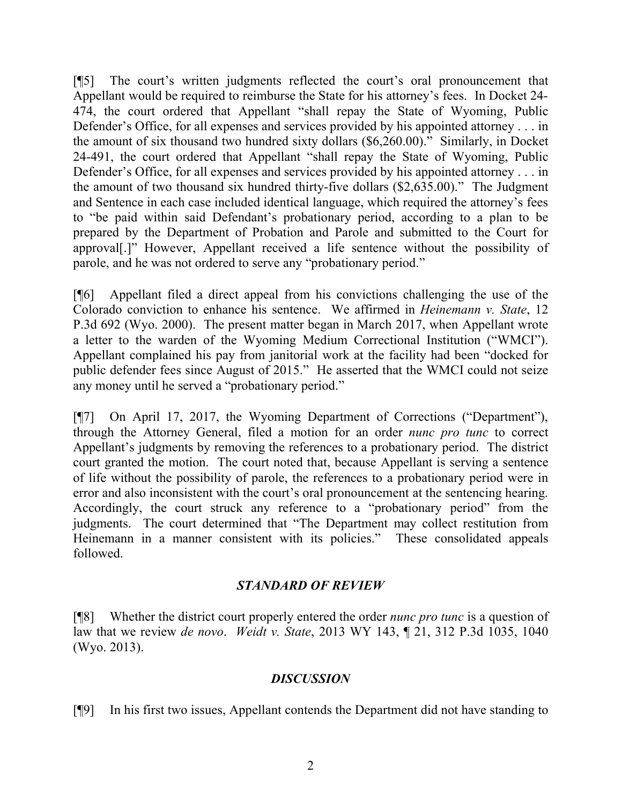[¶5] The court's written judgments reflected the court's oral pronouncement that Appellant would be required to reimburse the State for his attorney's fees. In Docket 24- 474, the court ordered that Appellant "shall repay the State of Wyoming, Public Defender's Office, for all expenses and services provided by his appointed attorney . . . in the amount of six thousand two hundred sixty dollars (\$6,260.00)." Similarly, in Docket 24-491, the court ordered that Appellant "shall repay the State of Wyoming, Public Defender's Office, for all expenses and services provided by his appointed attorney . . . in the amount of two thousand six hundred thirty-five dollars (\$2,635.00)." The Judgment and Sentence in each case included identical language, which required the attorney's fees to "be paid within said Defendant's probationary period, according to a plan to be prepared by the Department of Probation and Parole and submitted to the Court for approval[.]" However, Appellant received a life sentence without the possibility of parole, and he was not ordered to serve any "probationary period."

[¶6] Appellant filed a direct appeal from his convictions challenging the use of the Colorado conviction to enhance his sentence. We affirmed in *Heinemann v. State*, 12 P.3d 692 (Wyo. 2000). The present matter began in March 2017, when Appellant wrote a letter to the warden of the Wyoming Medium Correctional Institution ("WMCI"). Appellant complained his pay from janitorial work at the facility had been "docked for public defender fees since August of 2015." He asserted that the WMCI could not seize any money until he served a "probationary period."

[¶7] On April 17, 2017, the Wyoming Department of Corrections ("Department"), through the Attorney General, filed a motion for an order *nunc pro tunc* to correct Appellant's judgments by removing the references to a probationary period. The district court granted the motion. The court noted that, because Appellant is serving a sentence of life without the possibility of parole, the references to a probationary period were in error and also inconsistent with the court's oral pronouncement at the sentencing hearing. Accordingly, the court struck any reference to a "probationary period" from the judgments. The court determined that "The Department may collect restitution from Heinemann in a manner consistent with its policies." These consolidated appeals followed.

## *STANDARD OF REVIEW*

[¶8] Whether the district court properly entered the order *nunc pro tunc* is a question of law that we review *de novo*. *Weidt v. State*, 2013 WY 143, ¶ 21, 312 P.3d 1035, 1040 (Wyo. 2013).

## *DISCUSSION*

[¶9] In his first two issues, Appellant contends the Department did not have standing to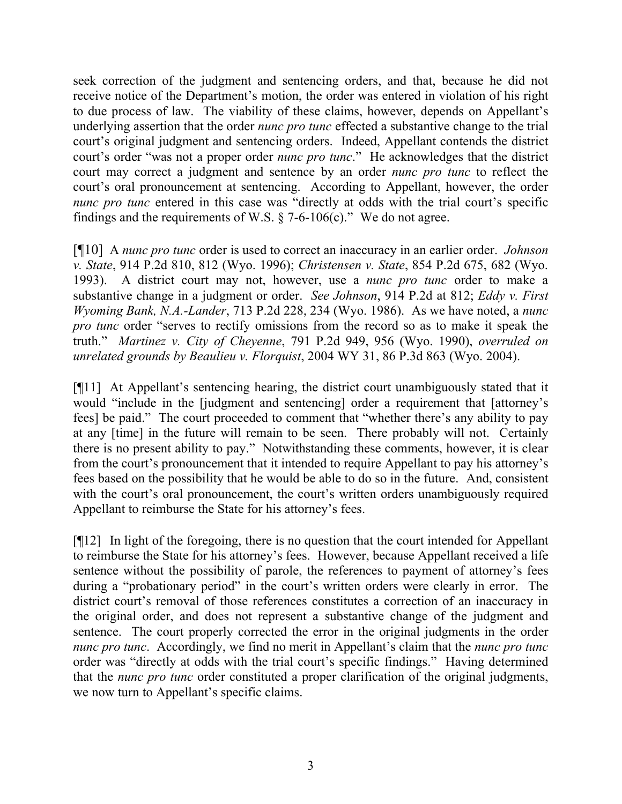seek correction of the judgment and sentencing orders, and that, because he did not receive notice of the Department's motion, the order was entered in violation of his right to due process of law. The viability of these claims, however, depends on Appellant's underlying assertion that the order *nunc pro tunc* effected a substantive change to the trial court's original judgment and sentencing orders. Indeed, Appellant contends the district court's order "was not a proper order *nunc pro tunc*." He acknowledges that the district court may correct a judgment and sentence by an order *nunc pro tunc* to reflect the court's oral pronouncement at sentencing. According to Appellant, however, the order *nunc pro tunc* entered in this case was "directly at odds with the trial court's specific findings and the requirements of W.S.  $\S$  7-6-106(c)." We do not agree.

[¶10] A *nunc pro tunc* order is used to correct an inaccuracy in an earlier order. *Johnson v. State*, 914 P.2d 810, 812 (Wyo. 1996); *Christensen v. State*, 854 P.2d 675, 682 (Wyo. 1993). A district court may not, however, use a *nunc pro tunc* order to make a substantive change in a judgment or order. *See Johnson*, 914 P.2d at 812; *Eddy v. First Wyoming Bank, N.A.-Lander*, 713 P.2d 228, 234 (Wyo. 1986). As we have noted, a *nunc pro tunc* order "serves to rectify omissions from the record so as to make it speak the truth." *Martinez v. City of Cheyenne*, 791 P.2d 949, 956 (Wyo. 1990), *overruled on unrelated grounds by Beaulieu v. Florquist*, 2004 WY 31, 86 P.3d 863 (Wyo. 2004).

[¶11] At Appellant's sentencing hearing, the district court unambiguously stated that it would "include in the [judgment and sentencing] order a requirement that [attorney's fees] be paid." The court proceeded to comment that "whether there's any ability to pay at any [time] in the future will remain to be seen. There probably will not. Certainly there is no present ability to pay." Notwithstanding these comments, however, it is clear from the court's pronouncement that it intended to require Appellant to pay his attorney's fees based on the possibility that he would be able to do so in the future. And, consistent with the court's oral pronouncement, the court's written orders unambiguously required Appellant to reimburse the State for his attorney's fees.

[¶12] In light of the foregoing, there is no question that the court intended for Appellant to reimburse the State for his attorney's fees. However, because Appellant received a life sentence without the possibility of parole, the references to payment of attorney's fees during a "probationary period" in the court's written orders were clearly in error. The district court's removal of those references constitutes a correction of an inaccuracy in the original order, and does not represent a substantive change of the judgment and sentence. The court properly corrected the error in the original judgments in the order *nunc pro tunc*. Accordingly, we find no merit in Appellant's claim that the *nunc pro tunc* order was "directly at odds with the trial court's specific findings." Having determined that the *nunc pro tunc* order constituted a proper clarification of the original judgments, we now turn to Appellant's specific claims.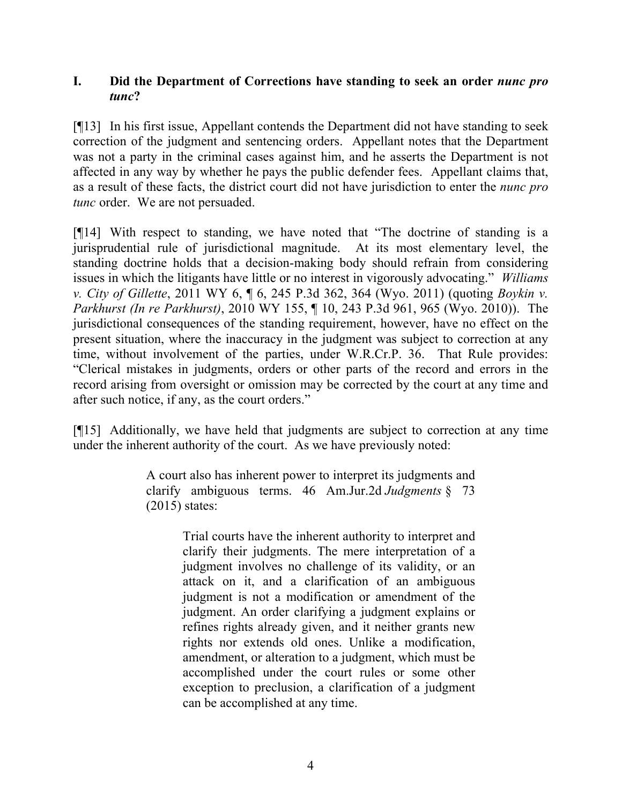### **I. Did the Department of Corrections have standing to seek an order** *nunc pro tunc***?**

[¶13] In his first issue, Appellant contends the Department did not have standing to seek correction of the judgment and sentencing orders. Appellant notes that the Department was not a party in the criminal cases against him, and he asserts the Department is not affected in any way by whether he pays the public defender fees. Appellant claims that, as a result of these facts, the district court did not have jurisdiction to enter the *nunc pro tunc* order. We are not persuaded.

[¶14] With respect to standing, we have noted that "The doctrine of standing is a jurisprudential rule of jurisdictional magnitude. At its most elementary level, the standing doctrine holds that a decision-making body should refrain from considering issues in which the litigants have little or no interest in vigorously advocating." *Williams v. City of Gillette*, 2011 WY 6, ¶ 6, 245 P.3d 362, 364 (Wyo. 2011) (quoting *Boykin v. Parkhurst (In re Parkhurst)*, 2010 WY 155, ¶ 10, 243 P.3d 961, 965 (Wyo. 2010)). The jurisdictional consequences of the standing requirement, however, have no effect on the present situation, where the inaccuracy in the judgment was subject to correction at any time, without involvement of the parties, under W.R.Cr.P. 36. That Rule provides: "Clerical mistakes in judgments, orders or other parts of the record and errors in the record arising from oversight or omission may be corrected by the court at any time and after such notice, if any, as the court orders."

[¶15] Additionally, we have held that judgments are subject to correction at any time under the inherent authority of the court. As we have previously noted:

> A court also has inherent power to interpret its judgments and clarify ambiguous terms. 46 Am.Jur.2d *Judgments* § 73 (2015) states:

> > Trial courts have the inherent authority to interpret and clarify their judgments. The mere interpretation of a judgment involves no challenge of its validity, or an attack on it, and a clarification of an ambiguous judgment is not a modification or amendment of the judgment. An order clarifying a judgment explains or refines rights already given, and it neither grants new rights nor extends old ones. Unlike a modification, amendment, or alteration to a judgment, which must be accomplished under the court rules or some other exception to preclusion, a clarification of a judgment can be accomplished at any time.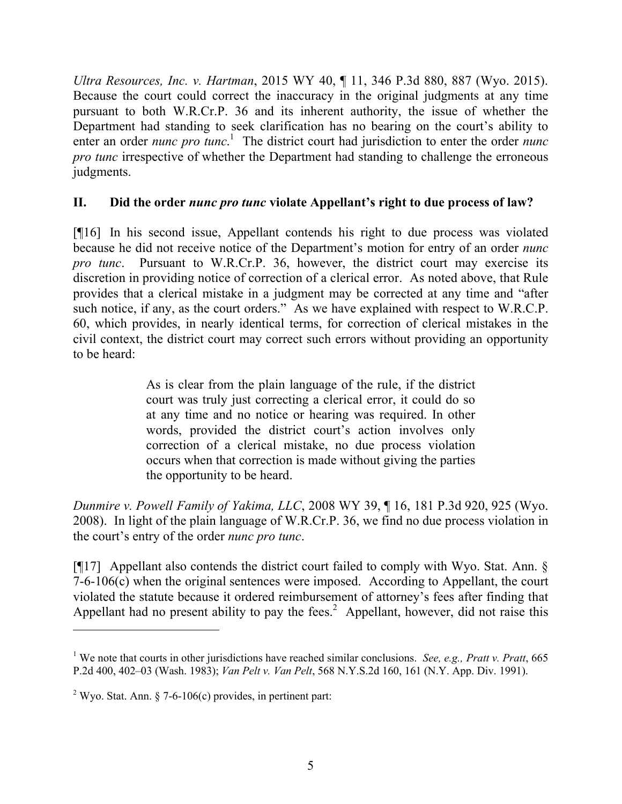*Ultra Resources, Inc. v. Hartman*, 2015 WY 40, ¶ 11, 346 P.3d 880, 887 (Wyo. 2015). Because the court could correct the inaccuracy in the original judgments at any time pursuant to both W.R.Cr.P. 36 and its inherent authority, the issue of whether the Department had standing to seek clarification has no bearing on the court's ability to enter an order *nunc pro tunc*.<sup>1</sup> The district court had jurisdiction to enter the order *nunc pro tunc* irrespective of whether the Department had standing to challenge the erroneous judgments.

# **II. Did the order** *nunc pro tunc* **violate Appellant's right to due process of law?**

[¶16] In his second issue, Appellant contends his right to due process was violated because he did not receive notice of the Department's motion for entry of an order *nunc pro tunc*. Pursuant to W.R.Cr.P. 36, however, the district court may exercise its discretion in providing notice of correction of a clerical error. As noted above, that Rule provides that a clerical mistake in a judgment may be corrected at any time and "after such notice, if any, as the court orders." As we have explained with respect to W.R.C.P. 60, which provides, in nearly identical terms, for correction of clerical mistakes in the civil context, the district court may correct such errors without providing an opportunity to be heard:

> As is clear from the plain language of the rule, if the district court was truly just correcting a clerical error, it could do so at any time and no notice or hearing was required. In other words, provided the district court's action involves only correction of a clerical mistake, no due process violation occurs when that correction is made without giving the parties the opportunity to be heard.

*Dunmire v. Powell Family of Yakima, LLC*, 2008 WY 39, ¶ 16, 181 P.3d 920, 925 (Wyo. 2008). In light of the plain language of W.R.Cr.P. 36, we find no due process violation in the court's entry of the order *nunc pro tunc*.

[¶17] Appellant also contends the district court failed to comply with Wyo. Stat. Ann. § 7-6-106(c) when the original sentences were imposed. According to Appellant, the court violated the statute because it ordered reimbursement of attorney's fees after finding that Appellant had no present ability to pay the fees.<sup>2</sup> Appellant, however, did not raise this

<sup>1</sup> We note that courts in other jurisdictions have reached similar conclusions. *See, e.g., Pratt v. Pratt*, 665 P.2d 400, 402–03 (Wash. 1983); *Van Pelt v. Van Pelt*, 568 N.Y.S.2d 160, 161 (N.Y. App. Div. 1991).

<sup>&</sup>lt;sup>2</sup> Wyo. Stat. Ann. § 7-6-106(c) provides, in pertinent part: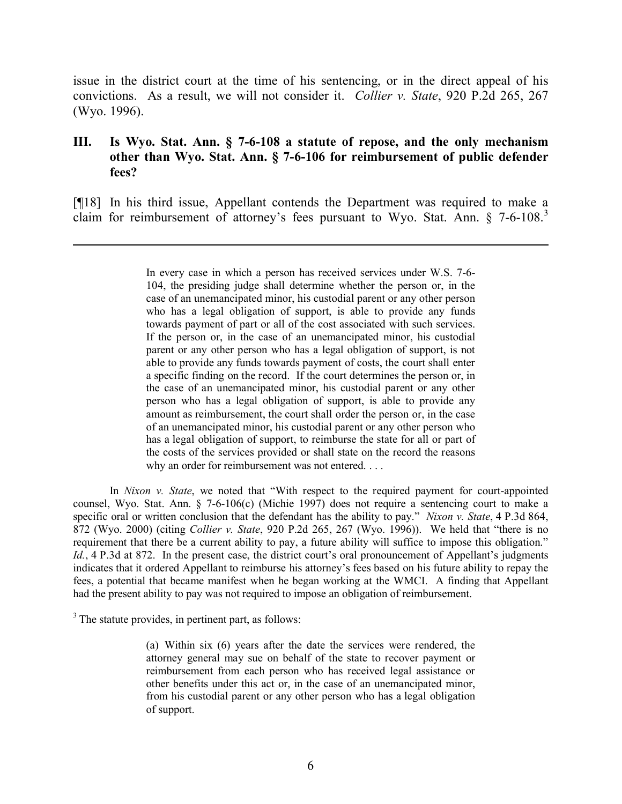issue in the district court at the time of his sentencing, or in the direct appeal of his convictions. As a result, we will not consider it. *Collier v. State*, 920 P.2d 265, 267 (Wyo. 1996).

### **III. Is Wyo. Stat. Ann. § 7-6-108 a statute of repose, and the only mechanism other than Wyo. Stat. Ann. § 7-6-106 for reimbursement of public defender fees?**

[¶18] In his third issue, Appellant contends the Department was required to make a claim for reimbursement of attorney's fees pursuant to Wyo. Stat. Ann. § 7-6-108.<sup>3</sup>

> In every case in which a person has received services under W.S. 7-6- 104, the presiding judge shall determine whether the person or, in the case of an unemancipated minor, his custodial parent or any other person who has a legal obligation of support, is able to provide any funds towards payment of part or all of the cost associated with such services. If the person or, in the case of an unemancipated minor, his custodial parent or any other person who has a legal obligation of support, is not able to provide any funds towards payment of costs, the court shall enter a specific finding on the record. If the court determines the person or, in the case of an unemancipated minor, his custodial parent or any other person who has a legal obligation of support, is able to provide any amount as reimbursement, the court shall order the person or, in the case of an unemancipated minor, his custodial parent or any other person who has a legal obligation of support, to reimburse the state for all or part of the costs of the services provided or shall state on the record the reasons why an order for reimbursement was not entered. . . .

In *Nixon v. State*, we noted that "With respect to the required payment for court-appointed counsel, Wyo. Stat. Ann. § 7-6-106(c) (Michie 1997) does not require a sentencing court to make a specific oral or written conclusion that the defendant has the ability to pay." *Nixon v. State*, 4 P.3d 864, 872 (Wyo. 2000) (citing *Collier v. State*, 920 P.2d 265, 267 (Wyo. 1996)). We held that "there is no requirement that there be a current ability to pay, a future ability will suffice to impose this obligation." Id., 4 P.3d at 872. In the present case, the district court's oral pronouncement of Appellant's judgments indicates that it ordered Appellant to reimburse his attorney's fees based on his future ability to repay the fees, a potential that became manifest when he began working at the WMCI. A finding that Appellant had the present ability to pay was not required to impose an obligation of reimbursement.

<sup>3</sup> The statute provides, in pertinent part, as follows:

 $\overline{a}$ 

(a) Within six (6) years after the date the services were rendered, the attorney general may sue on behalf of the state to recover payment or reimbursement from each person who has received legal assistance or other benefits under this act or, in the case of an unemancipated minor, from his custodial parent or any other person who has a legal obligation of support.